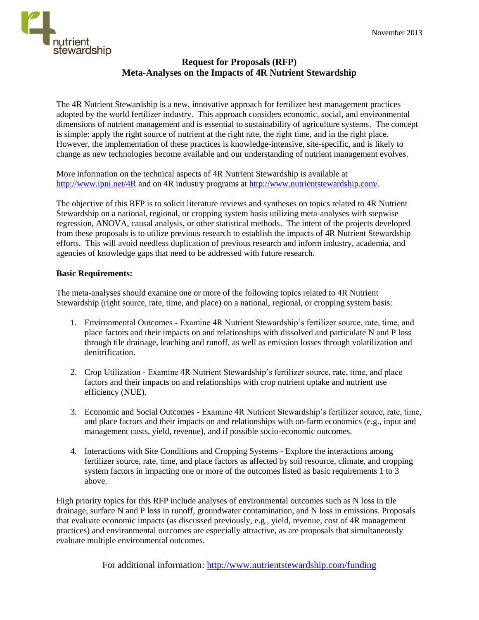

## **Request for Proposals (RFP) Meta-Analyses on the Impacts of 4R Nutrient Stewardship**

The 4R Nutrient Stewardship is a new, innovative approach for fertilizer best management practices adopted by the world fertilizer industry. This approach considers economic, social, and environmental dimensions of nutrient management and is essential to sustainability of agriculture systems. The concept is simple: apply the right source of nutrient at the right rate, the right time, and in the right place. However, the implementation of these practices is knowledge-intensive, site-specific, and is likely to change as new technologies become available and our understanding of nutrient management evolves.

More information on the technical aspects of 4R Nutrient Stewardship is available at [http://www.ipni.net/4R](http://www.ipni.net/4R%3c) and on 4R industry programs at [http://www.nutrientstewardship.com/.](http://www.nutrientstewardship.com/%3c)

The objective of this RFP is to solicit literature reviews and syntheses on topics related to 4R Nutrient Stewardship on a national, regional, or cropping system basis utilizing meta‐analyses with stepwise regression, ANOVA, causal analysis, or other statistical methods. The intent of the projects developed from these proposals is to utilize previous research to establish the impacts of 4R Nutrient Stewardship efforts. This will avoid needless duplication of previous research and inform industry, academia, and agencies of knowledge gaps that need to be addressed with future research.

## **Basic Requirements:**

The meta-analyses should examine one or more of the following topics related to 4R Nutrient Stewardship (right source, rate, time, and place) on a national, regional, or cropping system basis:

- 1. Environmental Outcomes Examine 4R Nutrient Stewardship's fertilizer source, rate, time, and place factors and their impacts on and relationships with dissolved and particulate N and P loss through tile drainage, leaching and runoff, as well as emission losses through volatilization and denitrification.
- 2. Crop Utilization Examine 4R Nutrient Stewardship's fertilizer source, rate, time, and place factors and their impacts on and relationships with crop nutrient uptake and nutrient use efficiency (NUE).
- 3. Economic and Social Outcomes Examine 4R Nutrient Stewardship's fertilizer source, rate, time, and place factors and their impacts on and relationships with on-farm economics (e.g., input and management costs, yield, revenue), and if possible socio-economic outcomes.
- 4. Interactions with Site Conditions and Cropping Systems Explore the interactions among fertilizer source, rate, time, and place factors as affected by soil resource, climate, and cropping system factors in impacting one or more of the outcomes listed as basic requirements 1 to 3 above.

High priority topics for this RFP include analyses of environmental outcomes such as N loss in tile drainage, surface N and P loss in runoff, groundwater contamination, and N loss in emissions. Proposals that evaluate economic impacts (as discussed previously, e.g., yield, revenue, cost of 4R management practices) and environmental outcomes are especially attractive, as are proposals that simultaneously evaluate multiple environmental outcomes.

For additional information:<http://www.nutrientstewardship.com/funding>